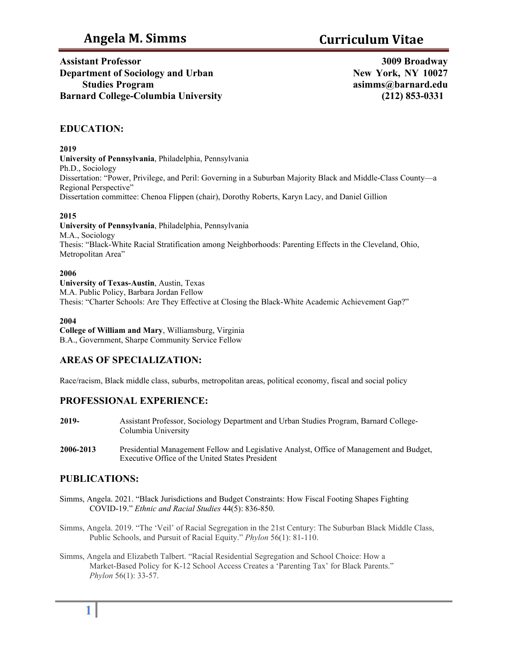**Assistant Professor Department of Sociology and Urban Studies Program Barnard College-Columbia University** 

**3009 Broadway New York, NY 1002[7](mailto:asimms@barnard.edu) [asimms@barnard.edu](mailto:asimms@barnard.edu) (212) 853-0331**

# **EDUCATION:**

**2019**

**University of Pennsylvania**, Philadelphia, Pennsylvania Ph.D., Sociology Dissertation: "Power, Privilege, and Peril: Governing in a Suburban Majority Black and Middle-Class County—a Regional Perspective" Dissertation committee: Chenoa Flippen (chair), Dorothy Roberts, Karyn Lacy, and Daniel Gillion

#### **2015**

**University of Pennsylvania**, Philadelphia, Pennsylvania M.A., Sociology Thesis: "Black-White Racial Stratification among Neighborhoods: Parenting Effects in the Cleveland, Ohio, Metropolitan Area"

#### **2006**

**University of Texas-Austin**, Austin, Texas M.A. Public Policy, Barbara Jordan Fellow Thesis: "Charter Schools: Are They Effective at Closing the Black-White Academic Achievement Gap?"

#### **2004**

**College of William and Mary**, Williamsburg, Virginia B.A., Government, Sharpe Community Service Fellow

# **AREAS OF SPECIALIZATION:**

Race/racism, Black middle class, suburbs, metropolitan areas, political economy, fiscal and social policy

# **PROFESSIONAL EXPERIENCE:**

- **2019-** Assistant Professor, Sociology Department and Urban Studies Program, Barnard College-Columbia University
- **2006-2013** Presidential Management Fellow and Legislative Analyst, Office of Management and Budget, Executive Office of the United States President

# **PUBLICATIONS:**

- Simms, Angela. 2021. "Black Jurisdictions and Budget Constraints: How Fiscal Footing Shapes Fighting COVID-19." *Ethnic and Racial Studies* 44(5): 836-850.
- Simms, Angela. 2019. "The 'Veil' of Racial Segregation in the 21st Century: The Suburban Black Middle Class, Public Schools, and Pursuit of Racial Equity." *Phylon* 56(1): 81-110.
- Simms, Angela and Elizabeth Talbert. "Racial Residential Segregation and School Choice: How a Market-Based Policy for K-12 School Access Creates a 'Parenting Tax' for Black Parents." *Phylon* 56(1): 33-57.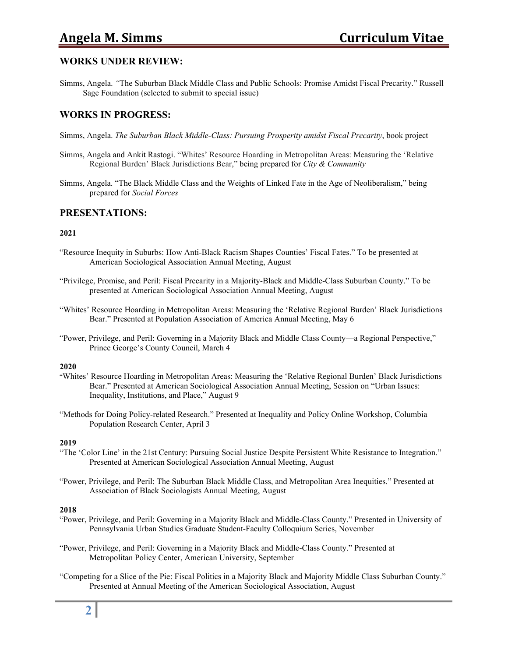# **Angela M. Simms Curriculum Vitae**

# **WORKS UNDER REVIEW:**

Simms, Angela. *"*The Suburban Black Middle Class and Public Schools: Promise Amidst Fiscal Precarity." Russell Sage Foundation (selected to submit to special issue)

# **WORKS IN PROGRESS:**

- Simms, Angela. *The Suburban Black Middle-Class: Pursuing Prosperity amidst Fiscal Precarity*, book project
- Simms, Angela and Ankit Rastogi. "Whites' Resource Hoarding in Metropolitan Areas: Measuring the 'Relative Regional Burden' Black Jurisdictions Bear," being prepared for *City & Community*
- Simms, Angela. "The Black Middle Class and the Weights of Linked Fate in the Age of Neoliberalism," being prepared for *Social Forces*

## **PRESENTATIONS:**

#### **2021**

- "Resource Inequity in Suburbs: How Anti-Black Racism Shapes Counties' Fiscal Fates." To be presented at American Sociological Association Annual Meeting, August
- "Privilege, Promise, and Peril: Fiscal Precarity in a Majority-Black and Middle-Class Suburban County." To be presented at American Sociological Association Annual Meeting, August
- "Whites' Resource Hoarding in Metropolitan Areas: Measuring the 'Relative Regional Burden' Black Jurisdictions Bear." Presented at Population Association of America Annual Meeting, May 6
- "Power, Privilege, and Peril: Governing in a Majority Black and Middle Class County—a Regional Perspective," Prince George's County Council, March 4

#### **2020**

- "Whites' Resource Hoarding in Metropolitan Areas: Measuring the 'Relative Regional Burden' Black Jurisdictions Bear." Presented at American Sociological Association Annual Meeting, Session on "Urban Issues: Inequality, Institutions, and Place," August 9
- "Methods for Doing Policy-related Research." Presented at Inequality and Policy Online Workshop, Columbia Population Research Center, April 3

#### **2019**

- "The 'Color Line' in the 21st Century: Pursuing Social Justice Despite Persistent White Resistance to Integration." Presented at American Sociological Association Annual Meeting, August
- "Power, Privilege, and Peril: The Suburban Black Middle Class, and Metropolitan Area Inequities." Presented at Association of Black Sociologists Annual Meeting, August

#### **2018**

- "Power, Privilege, and Peril: Governing in a Majority Black and Middle-Class County." Presented in University of Pennsylvania Urban Studies Graduate Student-Faculty Colloquium Series, November
- "Power, Privilege, and Peril: Governing in a Majority Black and Middle-Class County." Presented at Metropolitan Policy Center, American University, September
- "Competing for a Slice of the Pie: Fiscal Politics in a Majority Black and Majority Middle Class Suburban County." Presented at Annual Meeting of the American Sociological Association, August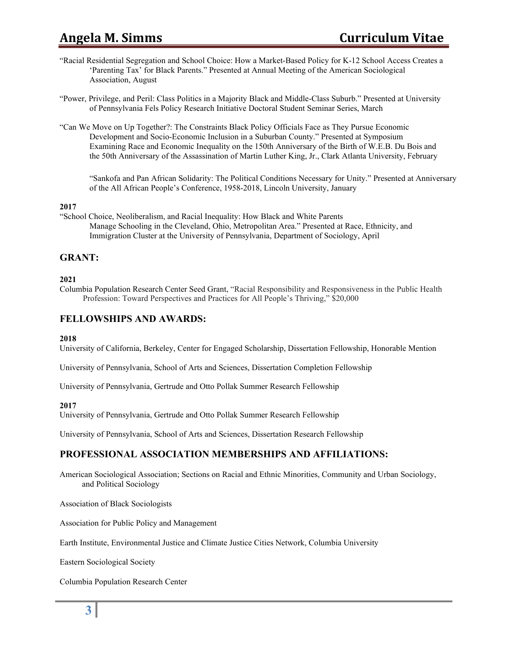# **Angela M. Simms Curriculum Vitae**

"Racial Residential Segregation and School Choice: How a Market-Based Policy for K-12 School Access Creates a 'Parenting Tax' for Black Parents." Presented at Annual Meeting of the American Sociological Association, August

"Power, Privilege, and Peril: Class Politics in a Majority Black and Middle-Class Suburb." Presented at University of Pennsylvania Fels Policy Research Initiative Doctoral Student Seminar Series, March

"Can We Move on Up Together?: The Constraints Black Policy Officials Face as They Pursue Economic Development and Socio-Economic Inclusion in a Suburban County." Presented at Symposium Examining Race and Economic Inequality on the 150th Anniversary of the Birth of W.E.B. Du Bois and the 50th Anniversary of the Assassination of Martin Luther King, Jr., Clark Atlanta University, February

"Sankofa and Pan African Solidarity: The Political Conditions Necessary for Unity." Presented at Anniversary of the All African People's Conference, 1958-2018, Lincoln University, January

#### **2017**

"School Choice, Neoliberalism, and Racial Inequality: How Black and White Parents Manage Schooling in the Cleveland, Ohio, Metropolitan Area." Presented at Race, Ethnicity, and Immigration Cluster at the University of Pennsylvania, Department of Sociology, April

# **GRANT:**

#### **2021**

Columbia Population Research Center Seed Grant, "Racial Responsibility and Responsiveness in the Public Health Profession: Toward Perspectives and Practices for All People's Thriving," \$20,000

# **FELLOWSHIPS AND AWARDS:**

#### **2018**

University of California, Berkeley, Center for Engaged Scholarship, Dissertation Fellowship, Honorable Mention

University of Pennsylvania, School of Arts and Sciences, Dissertation Completion Fellowship

University of Pennsylvania, Gertrude and Otto Pollak Summer Research Fellowship

#### **2017**

University of Pennsylvania, Gertrude and Otto Pollak Summer Research Fellowship

University of Pennsylvania, School of Arts and Sciences, Dissertation Research Fellowship

# **PROFESSIONAL ASSOCIATION MEMBERSHIPS AND AFFILIATIONS:**

American Sociological Association; Sections on Racial and Ethnic Minorities, Community and Urban Sociology, and Political Sociology

Association of Black Sociologists

Association for Public Policy and Management

Earth Institute, Environmental Justice and Climate Justice Cities Network, Columbia University

Eastern Sociological Society

Columbia Population Research Center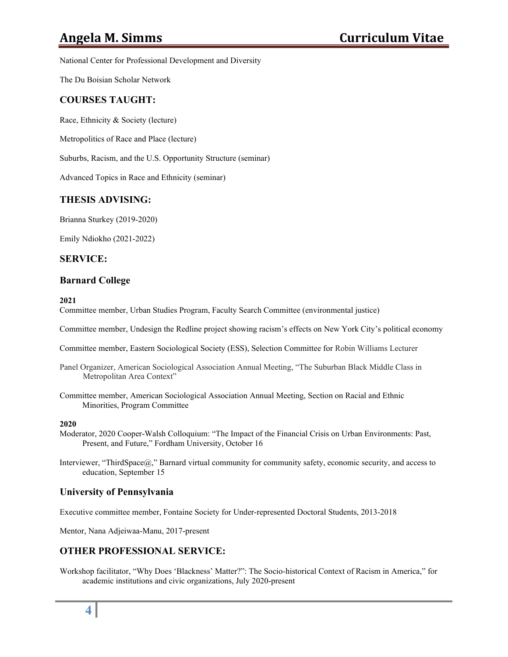National Center for Professional Development and Diversity

The Du Boisian Scholar Network

# **COURSES TAUGHT:**

Race, Ethnicity & Society (lecture)

Metropolitics of Race and Place (lecture)

Suburbs, Racism, and the U.S. Opportunity Structure (seminar)

Advanced Topics in Race and Ethnicity (seminar)

# **THESIS ADVISING:**

Brianna Sturkey (2019-2020)

Emily Ndiokho (2021-2022)

## **SERVICE:**

## **Barnard College**

**2021**

Committee member, Urban Studies Program, Faculty Search Committee (environmental justice)

Committee member, Undesign the Redline project showing racism's effects on New York City's political economy

Committee member, Eastern Sociological Society (ESS), Selection Committee for Robin Williams Lecturer

- Panel Organizer, American Sociological Association Annual Meeting, "The Suburban Black Middle Class in Metropolitan Area Context"
- Committee member, American Sociological Association Annual Meeting, Section on Racial and Ethnic Minorities, Program Committee

#### **2020**

- Moderator, 2020 Cooper-Walsh Colloquium: "The Impact of the Financial Crisis on Urban Environments: Past, Present, and Future," Fordham University, October 16
- Interviewer, "ThirdSpace@," Barnard virtual community for community safety, economic security, and access to education, September 15

## **University of Pennsylvania**

Executive committee member, Fontaine Society for Under-represented Doctoral Students, 2013-2018

Mentor, Nana Adjeiwaa-Manu, 2017-present

# **OTHER PROFESSIONAL SERVICE:**

Workshop facilitator, "Why Does 'Blackness' Matter?": The Socio-historical Context of Racism in America," for academic institutions and civic organizations, July 2020-present